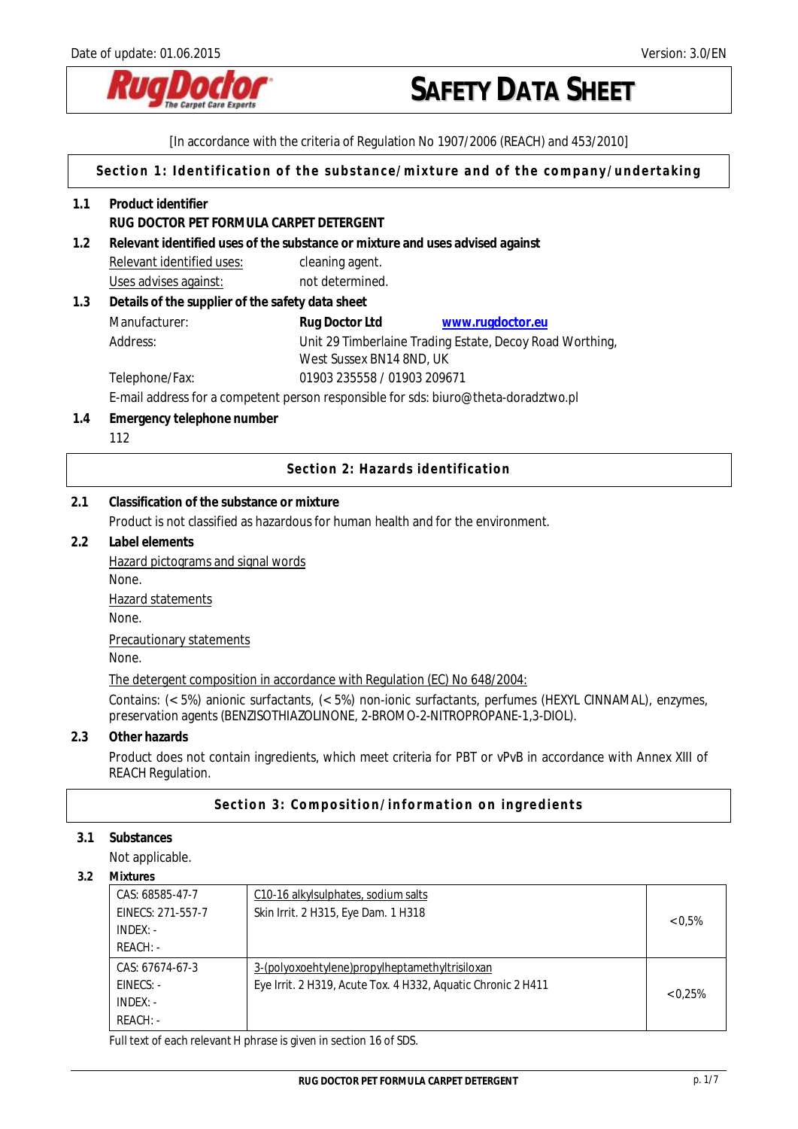

[In accordance with the criteria of Regulation No 1907/2006 (REACH) and 453/2010]

**Section 1: Identification of the substance/mixture and of the company/undertaking** 

| 1.1 | Product identifier<br>RUG DOCTOR PET FORMULA CARPET DETERGENT                                                                                                                          |                                                              |         |  |  |
|-----|----------------------------------------------------------------------------------------------------------------------------------------------------------------------------------------|--------------------------------------------------------------|---------|--|--|
| 1.2 | Relevant identified uses of the substance or mixture and uses advised against                                                                                                          |                                                              |         |  |  |
|     | Relevant identified uses:                                                                                                                                                              | cleaning agent.                                              |         |  |  |
|     | Uses advises against:                                                                                                                                                                  | not determined.                                              |         |  |  |
| 1.3 | Details of the supplier of the safety data sheet                                                                                                                                       |                                                              |         |  |  |
|     | Manufacturer:                                                                                                                                                                          | Rug Doctor Ltd<br>www.rugdoctor.eu                           |         |  |  |
|     | Address:                                                                                                                                                                               | Unit 29 Timberlaine Trading Estate, Decoy Road Worthing,     |         |  |  |
|     | West Sussex BN14 8ND, UK                                                                                                                                                               |                                                              |         |  |  |
|     | 01903 235558 / 01903 209671<br>Telephone/Fax:                                                                                                                                          |                                                              |         |  |  |
|     | E-mail address for a competent person responsible for sds: biuro@theta-doradztwo.pl                                                                                                    |                                                              |         |  |  |
| 1.4 | Emergency telephone number                                                                                                                                                             |                                                              |         |  |  |
|     | 112                                                                                                                                                                                    |                                                              |         |  |  |
|     |                                                                                                                                                                                        | Section 2: Hazards identification                            |         |  |  |
| 2.1 | Classification of the substance or mixture                                                                                                                                             |                                                              |         |  |  |
|     | Product is not classified as hazardous for human health and for the environment.                                                                                                       |                                                              |         |  |  |
| 2.2 | Label elements                                                                                                                                                                         |                                                              |         |  |  |
|     | Hazard pictograms and signal words                                                                                                                                                     |                                                              |         |  |  |
|     | None.                                                                                                                                                                                  |                                                              |         |  |  |
|     | Hazard statements                                                                                                                                                                      |                                                              |         |  |  |
|     | None.                                                                                                                                                                                  |                                                              |         |  |  |
|     | <b>Precautionary statements</b>                                                                                                                                                        |                                                              |         |  |  |
|     | None.                                                                                                                                                                                  |                                                              |         |  |  |
|     | The detergent composition in accordance with Regulation (EC) No 648/2004:                                                                                                              |                                                              |         |  |  |
|     | Contains: (< 5%) anionic surfactants, (< 5%) non-ionic surfactants, perfumes (HEXYL CINNAMAL), enzymes,<br>preservation agents (BENZISOTHIAZOLINONE, 2-BROMO-2-NITROPROPANE-1,3-DIOL). |                                                              |         |  |  |
| 2.3 | Other hazards                                                                                                                                                                          |                                                              |         |  |  |
|     | Product does not contain ingredients, which meet criteria for PBT or vPvB in accordance with Annex XIII of<br><b>REACH Regulation.</b>                                                 |                                                              |         |  |  |
|     |                                                                                                                                                                                        |                                                              |         |  |  |
|     |                                                                                                                                                                                        | Section 3: Composition/information on ingredients            |         |  |  |
| 3.1 | Substances                                                                                                                                                                             |                                                              |         |  |  |
|     | Not applicable.                                                                                                                                                                        |                                                              |         |  |  |
| 3.2 | <b>Mixtures</b>                                                                                                                                                                        |                                                              |         |  |  |
|     | CAS: 68585-47-7                                                                                                                                                                        | C10-16 alkylsulphates, sodium salts                          |         |  |  |
|     | EINECS: 271-557-7                                                                                                                                                                      | Skin Irrit. 2 H315, Eye Dam. 1 H318                          | < 0.5%  |  |  |
|     | INDEX: -<br>REACH: -                                                                                                                                                                   |                                                              |         |  |  |
|     | CAS: 67674-67-3                                                                                                                                                                        | 3-(polyoxoehtylene)propylheptamethyltrisiloxan               |         |  |  |
|     | EINECS: -                                                                                                                                                                              | Eye Irrit. 2 H319, Acute Tox. 4 H332, Aquatic Chronic 2 H411 |         |  |  |
|     | INDEX: -                                                                                                                                                                               |                                                              | < 0.25% |  |  |
|     | REACH: -                                                                                                                                                                               |                                                              |         |  |  |

Full text of each relevant H phrase is given in section 16 of SDS.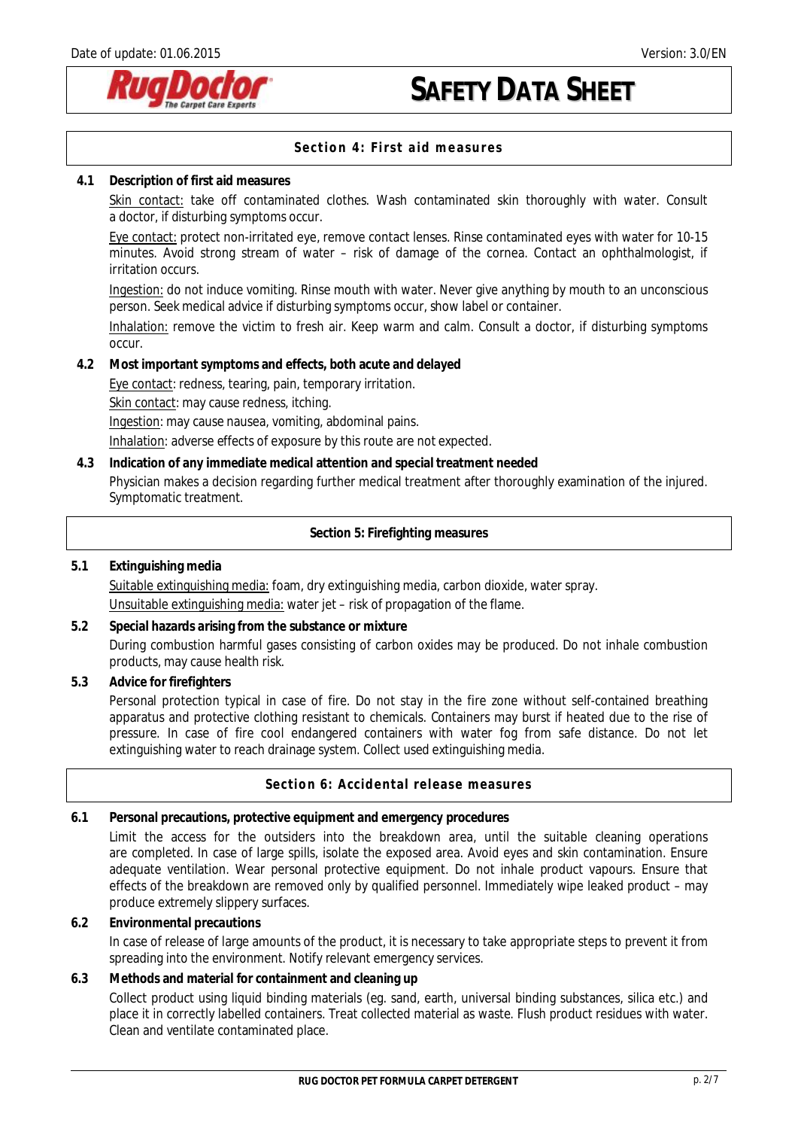

# **Section 4: First aid measures**

## **4.1 Description of first aid measures**

Skin contact: take off contaminated clothes. Wash contaminated skin thoroughly with water. Consult a doctor, if disturbing symptoms occur.

Eye contact: protect non-irritated eye, remove contact lenses. Rinse contaminated eyes with water for 10-15 minutes. Avoid strong stream of water – risk of damage of the cornea. Contact an ophthalmologist, if irritation occurs.

Ingestion: do not induce vomiting. Rinse mouth with water. Never give anything by mouth to an unconscious person. Seek medical advice if disturbing symptoms occur, show label or container.

Inhalation: remove the victim to fresh air. Keep warm and calm. Consult a doctor, if disturbing symptoms occur.

**4.2 Most important symptoms and effects, both acute and delayed** 

Eye contact: redness, tearing, pain, temporary irritation.

Skin contact: may cause redness, itching.

Ingestion: may cause nausea, vomiting, abdominal pains.

Inhalation: adverse effects of exposure by this route are not expected.

**4.3 Indication of any immediate medical attention and special treatment needed**

Physician makes a decision regarding further medical treatment after thoroughly examination of the injured. Symptomatic treatment.

## **Section 5: Firefighting measures**

# **5.1 Extinguishing media**  Suitable extinguishing media: foam, dry extinguishing media, carbon dioxide, water spray. Unsuitable extinguishing media: water jet – risk of propagation of the flame.

# **5.2 Special hazards arising from the substance or mixture**  During combustion harmful gases consisting of carbon oxides may be produced. Do not inhale combustion products, may cause health risk.

**5.3 Advice for firefighters** 

Personal protection typical in case of fire. Do not stay in the fire zone without self-contained breathing apparatus and protective clothing resistant to chemicals. Containers may burst if heated due to the rise of pressure. In case of fire cool endangered containers with water fog from safe distance. Do not let extinguishing water to reach drainage system. Collect used extinguishing media.

# **Section 6: Accidental release measures**

**6.1 Personal precautions, protective equipment and emergency procedures** 

Limit the access for the outsiders into the breakdown area, until the suitable cleaning operations are completed. In case of large spills, isolate the exposed area. Avoid eyes and skin contamination. Ensure adequate ventilation. Wear personal protective equipment. Do not inhale product vapours. Ensure that effects of the breakdown are removed only by qualified personnel. Immediately wipe leaked product – may produce extremely slippery surfaces.

**6.2 Environmental precautions** 

In case of release of large amounts of the product, it is necessary to take appropriate steps to prevent it from spreading into the environment. Notify relevant emergency services.

**6.3 Methods and material for containment and cleaning up**

Collect product using liquid binding materials (eg. sand, earth, universal binding substances, silica etc.) and place it in correctly labelled containers. Treat collected material as waste. Flush product residues with water. Clean and ventilate contaminated place.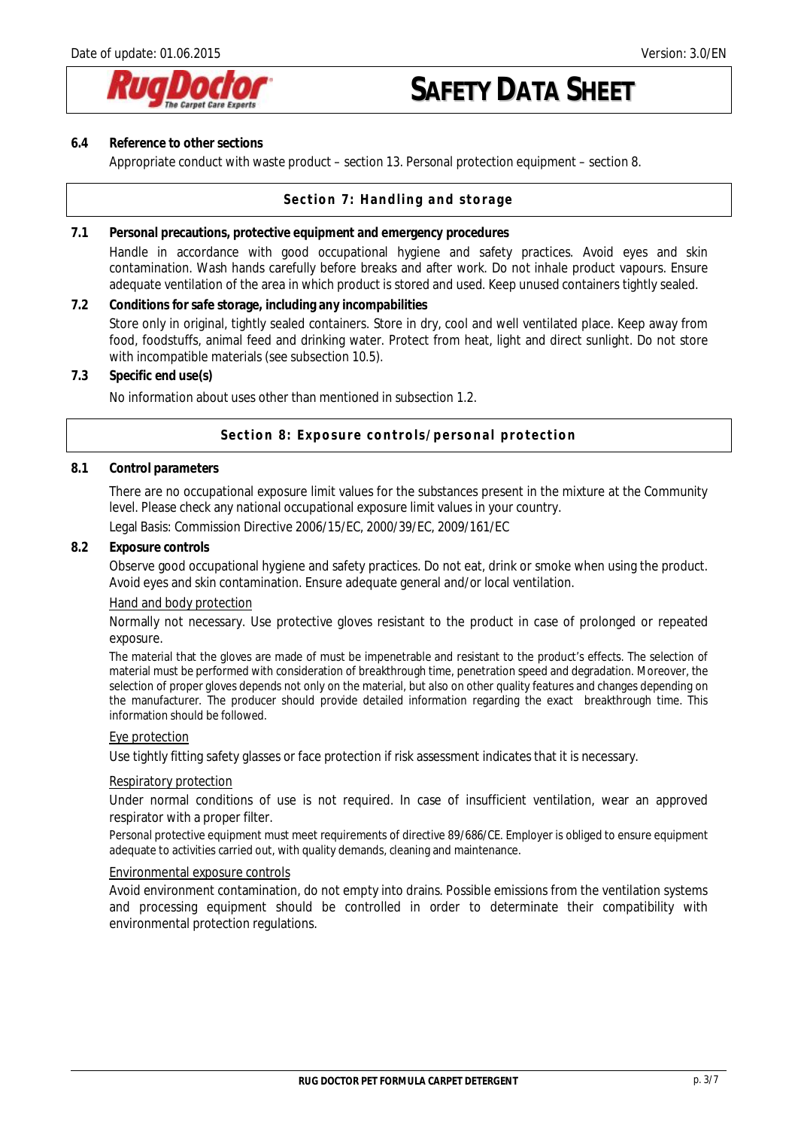

### **6.4 Reference to other sections**

Appropriate conduct with waste product – section 13. Personal protection equipment – section 8.

### **Section 7: Handling and storage**

**7.1 Personal precautions, protective equipment and emergency procedures**  Handle in accordance with good occupational hygiene and safety practices. Avoid eyes and skin contamination. Wash hands carefully before breaks and after work. Do not inhale product vapours. Ensure adequate ventilation of the area in which product is stored and used. Keep unused containers tightly sealed.

**7.2 Conditions for safe storage, including any incompabilities**  Store only in original, tightly sealed containers. Store in dry, cool and well ventilated place. Keep away from food, foodstuffs, animal feed and drinking water. Protect from heat, light and direct sunlight. Do not store with incompatible materials (see subsection 10.5).

**7.3 Specific end use(s)** 

No information about uses other than mentioned in subsection 1.2.

### **Section 8: Exposure controls/personal protection**

#### **8.1 Control parameters**

There are no occupational exposure limit values for the substances present in the mixture at the Community level. Please check any national occupational exposure limit values in your country.

Legal Basis: Commission Directive 2006/15/EC, 2000/39/EC, 2009/161/EC

#### **8.2 Exposure controls**

Observe good occupational hygiene and safety practices. Do not eat, drink or smoke when using the product. Avoid eyes and skin contamination. Ensure adequate general and/or local ventilation.

#### Hand and body protection

Normally not necessary. Use protective gloves resistant to the product in case of prolonged or repeated exposure.

The material that the gloves are made of must be impenetrable and resistant to the product's effects. The selection of material must be performed with consideration of breakthrough time, penetration speed and degradation. Moreover, the selection of proper gloves depends not only on the material, but also on other quality features and changes depending on the manufacturer. The producer should provide detailed information regarding the exact breakthrough time. This information should be followed.

#### Eye protection

Use tightly fitting safety glasses or face protection if risk assessment indicates that it is necessary.

#### Respiratory protection

Under normal conditions of use is not required. In case of insufficient ventilation, wear an approved respirator with a proper filter.

Personal protective equipment must meet requirements of directive 89/686/CE. Employer is obliged to ensure equipment adequate to activities carried out, with quality demands, cleaning and maintenance.

#### Environmental exposure controls

Avoid environment contamination, do not empty into drains. Possible emissions from the ventilation systems and processing equipment should be controlled in order to determinate their compatibility with environmental protection regulations.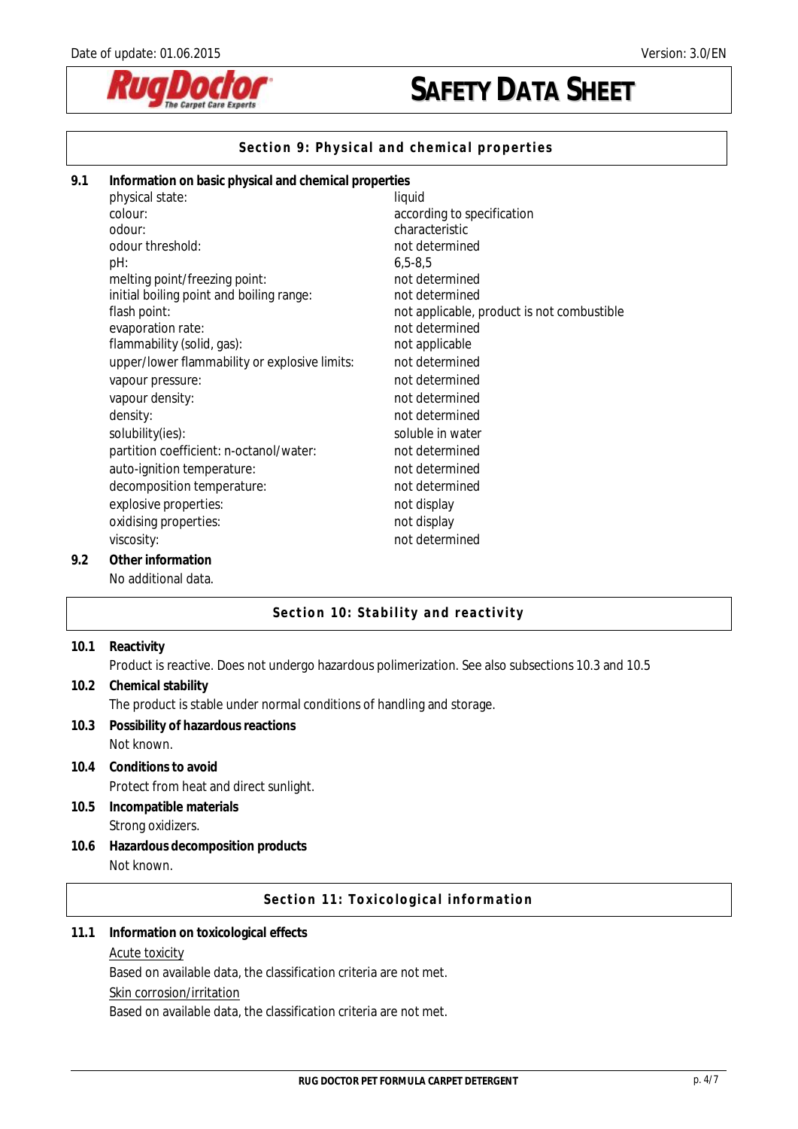

# **Section 9: Physical and chemical properties**

| 9.1 | Information on basic physical and chemical properties |                                            |  |
|-----|-------------------------------------------------------|--------------------------------------------|--|
|     | physical state:                                       | liquid                                     |  |
|     | colour:                                               | according to specification                 |  |
|     | odour:                                                | characteristic                             |  |
|     | odour threshold:                                      | not determined                             |  |
|     | pH:                                                   | $6,5 - 8,5$                                |  |
|     | melting point/freezing point:                         | not determined                             |  |
|     | initial boiling point and boiling range:              | not determined                             |  |
|     | flash point:                                          | not applicable, product is not combustible |  |
|     | evaporation rate:                                     | not determined                             |  |
|     | flammability (solid, gas):                            | not applicable                             |  |
|     | upper/lower flammability or explosive limits:         | not determined                             |  |
|     | vapour pressure:                                      | not determined                             |  |
|     | vapour density:                                       | not determined                             |  |
|     | density:                                              | not determined                             |  |
|     | solubility(ies):                                      | soluble in water                           |  |
|     | partition coefficient: n-octanol/water:               | not determined                             |  |
|     | auto-ignition temperature:                            | not determined                             |  |
|     | decomposition temperature:                            | not determined                             |  |
|     | explosive properties:                                 | not display                                |  |
|     | oxidising properties:                                 | not display                                |  |
|     | viscosity:                                            | not determined                             |  |
| 9.2 | Other information                                     |                                            |  |
|     | No additional data.                                   |                                            |  |

# **Section 10: Stability and reactivity**

| 10.1 | Reactivity                                                                                         |
|------|----------------------------------------------------------------------------------------------------|
|      | Product is reactive. Does not undergo hazardous polimerization. See also subsections 10.3 and 10.5 |
| 10.2 | Chemical stability                                                                                 |
|      | The product is stable under normal conditions of handling and storage.                             |
| 10.3 | Possibility of hazardous reactions                                                                 |
|      | Not known.                                                                                         |
| 10.4 | Conditions to avoid                                                                                |
|      | Protect from heat and direct sunlight.                                                             |
| 10.5 | Incompatible materials                                                                             |
|      | Strong oxidizers.                                                                                  |
| 10.6 | Hazardous decomposition products                                                                   |
|      | Not known.                                                                                         |
|      | Section 11: Toxicological information                                                              |
| 11.1 | Information on toxicological effects                                                               |
|      | <b>Acute toxicity</b>                                                                              |
|      | Based on available data, the classification criteria are not met.                                  |
|      | Skin corrosion/irritation                                                                          |

Based on available data, the classification criteria are not met.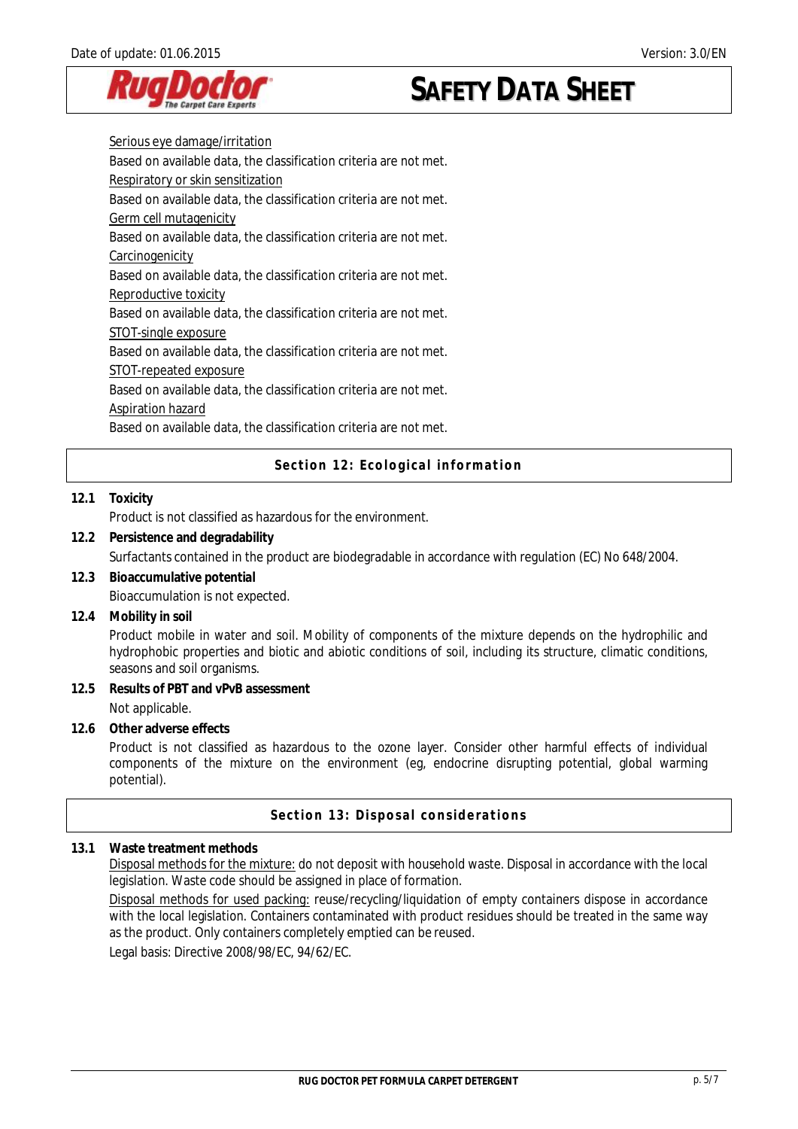

Serious eye damage/irritation Based on available data, the classification criteria are not met. Respiratory or skin sensitization Based on available data, the classification criteria are not met. Germ cell mutagenicity Based on available data, the classification criteria are not met. **Carcinogenicity** Based on available data, the classification criteria are not met. Reproductive toxicity Based on available data, the classification criteria are not met. STOT-single exposure Based on available data, the classification criteria are not met. STOT-repeated exposure Based on available data, the classification criteria are not met. Aspiration hazard Based on available data, the classification criteria are not met.

**Section 12: Ecological information** 

## **12.1 Toxicity**

Product is not classified as hazardous for the environment.

- **12.2 Persistence and degradability**  Surfactants contained in the product are biodegradable in accordance with regulation (EC) No 648/2004.
- **12.3 Bioaccumulative potential**  Bioaccumulation is not expected.
- **12.4 Mobility in soil**

Product mobile in water and soil. Mobility of components of the mixture depends on the hydrophilic and hydrophobic properties and biotic and abiotic conditions of soil, including its structure, climatic conditions, seasons and soil organisms.

**12.5 Results of PBT and vPvB assessment**  Not applicable.

**12.6 Other adverse effects** 

Product is not classified as hazardous to the ozone layer. Consider other harmful effects of individual components of the mixture on the environment (eg, endocrine disrupting potential, global warming potential).

**Section 13: Disposal considerations** 

## **13.1 Waste treatment methods**

Disposal methods for the mixture: do not deposit with household waste. Disposal in accordance with the local legislation. Waste code should be assigned in place of formation.

Disposal methods for used packing: reuse/recycling/liquidation of empty containers dispose in accordance with the local legislation. Containers contaminated with product residues should be treated in the same way as the product. Only containers completely emptied can be reused.

Legal basis: Directive 2008/98/EC, 94/62/EC.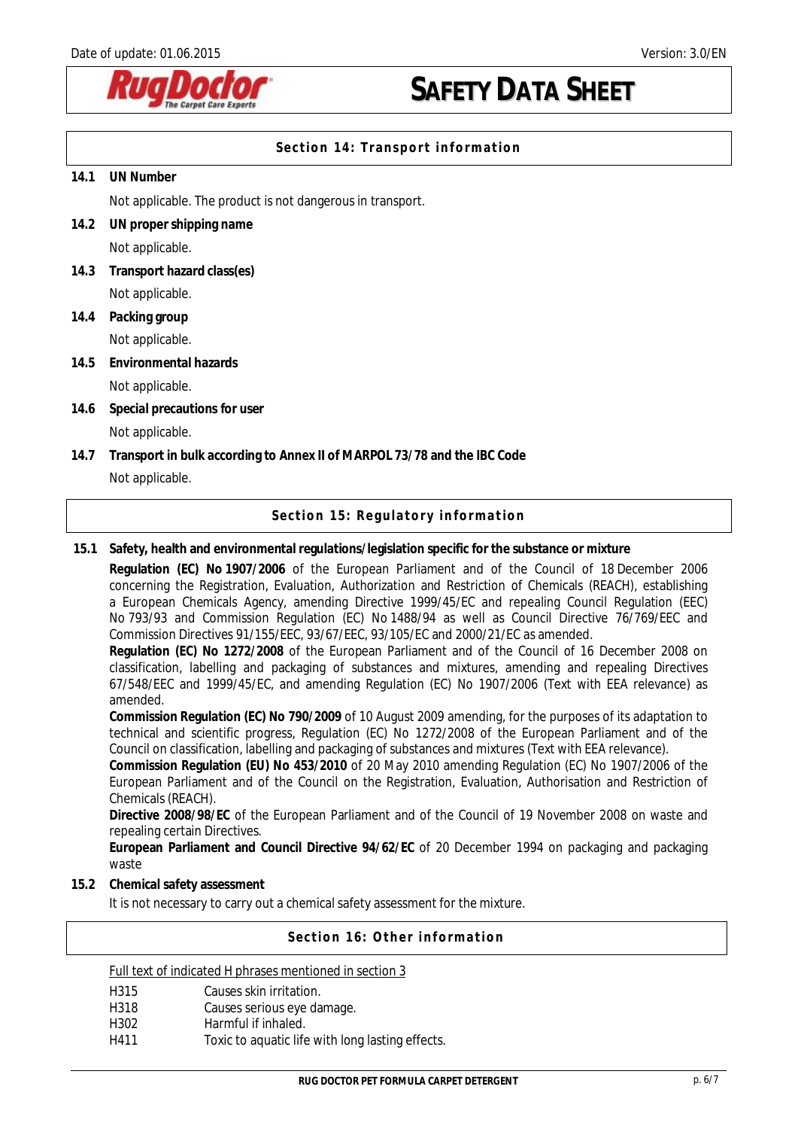

# **Section 14: Transport information**

## **14.1 UN Number**

Not applicable. The product is not dangerous in transport.

- **14.2 UN proper shipping name**  Not applicable.
- **14.3 Transport hazard class(es)**  Not applicable.
- **14.4 Packing group**

Not applicable.

**14.5 Environmental hazards** 

# Not applicable.

- **14.6 Special precautions for user**  Not applicable.
- **14.7 Transport in bulk according to Annex II of MARPOL 73/78 and the IBC Code**  Not applicable.

# **Section 15: Regulatory information**

# **15.1 Safety, health and environmental regulations/legislation specific for the substance or mixture**

**Regulation (EC) No 1907/2006** of the European Parliament and of the Council of 18 December 2006 concerning the Registration, Evaluation, Authorization and Restriction of Chemicals (REACH), establishing a European Chemicals Agency, amending Directive 1999/45/EC and repealing Council Regulation (EEC) No 793/93 and Commission Regulation (EC) No 1488/94 as well as Council Directive 76/769/EEC and Commission Directives 91/155/EEC, 93/67/EEC, 93/105/EC and 2000/21/EC as amended.

**Regulation (EC) No 1272/2008** of the European Parliament and of the Council of 16 December 2008 on classification, labelling and packaging of substances and mixtures, amending and repealing Directives 67/548/EEC and 1999/45/EC, and amending Regulation (EC) No 1907/2006 (Text with EEA relevance) as amended.

**Commission Regulation (EC) No 790/2009** of 10 August 2009 amending, for the purposes of its adaptation to technical and scientific progress, Regulation (EC) No 1272/2008 of the European Parliament and of the Council on classification, labelling and packaging of substances and mixtures (Text with EEA relevance).

**Commission Regulation (EU) No 453/2010** of 20 May 2010 amending Regulation (EC) No 1907/2006 of the European Parliament and of the Council on the Registration, Evaluation, Authorisation and Restriction of Chemicals (REACH).

**Directive 2008/98/EC** of the European Parliament and of the Council of 19 November 2008 on waste and repealing certain Directives.

**European Parliament and Council Directive 94/62/EC** of 20 December 1994 on packaging and packaging waste

## **15.2 Chemical safety assessment**

It is not necessary to carry out a chemical safety assessment for the mixture.

# **Section 16: Other information**

Full text of indicated H phrases mentioned in section 3

- H315 Causes skin irritation.
- H318 Causes serious eye damage.
- H302 Harmful if inhaled.
- H411 Toxic to aquatic life with long lasting effects.